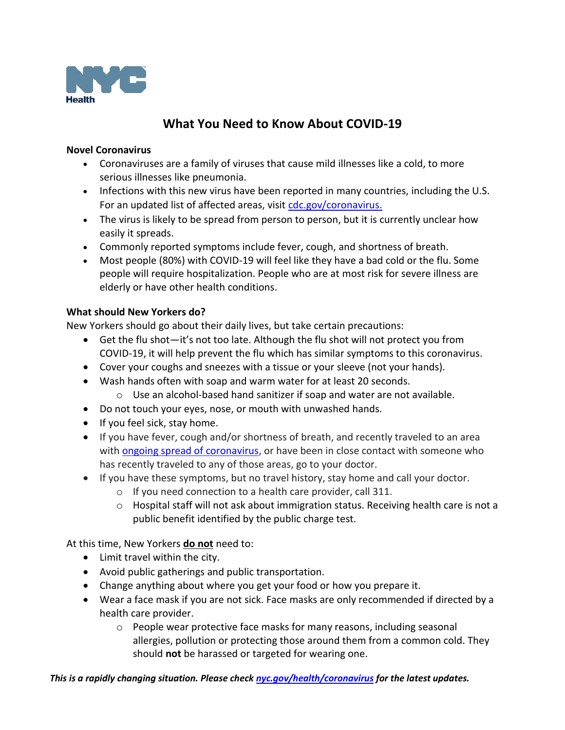

# **What You Need to Know About COVID-19**

### **Novel Coronavirus**

- Coronaviruses are a family of viruses that cause mild illnesses like a cold, to more serious illnesses like pneumonia.
- Infections with this new virus have been reported in many countries, including the U.S. For an updated list of affected areas, visit cdc.gov/coronavirus.
- The virus is likely to be spread from person to person, but it is currently unclear how easily it spreads.
- Commonly reported symptoms include fever, cough, and shortness of breath.
- Most people (80%) with COVID-19 will feel like they have a bad cold or the flu. Some people will require hospitalization. People who are at most risk for severe illness are elderly or have other health conditions.

# **What should New Yorkers do?**

New Yorkers should go about their daily lives, but take certain precautions:

- Get the flu shot—it's not too late. Although the flu shot will not protect you from COVID-19, it will help prevent the flu which has similar symptoms to this coronavirus.
- Cover your coughs and sneezes with a tissue or your sleeve (not your hands).
- Wash hands often with soap and warm water for at least 20 seconds.
	- o Use an alcohol-based hand sanitizer if soap and water are not available.
- Do not touch your eyes, nose, or mouth with unwashed hands.
- If you feel sick, stay home.
- If you have fever, cough and/or shortness of breath, and recently traveled to an area with **ongoing spread of coronavirus**, or have been in close contact with someone who has recently traveled to any of those areas, go to your doctor.
- If you have these symptoms, but no travel history, stay home and call your doctor.
	- o If you need connection to a health care provider, call 311.
	- o Hospital staff will not ask about immigration status. Receiving health care is not a public benefit identified by the public charge test.

At this time, New Yorkers **do not** need to:

- Limit travel within the city.
- Avoid public gatherings and public transportation.
- Change anything about where you get your food or how you prepare it.
- Wear a face mask if you are not sick. Face masks are only recommended if directed by a health care provider.
	- o People wear protective face masks for many reasons, including seasonal allergies, pollution or protecting those around them from a common cold. They should **not** be harassed or targeted for wearing one.

*This is a rapidly changing situation. Please check nyc.gov/health/coronavirus for the latest updates.*